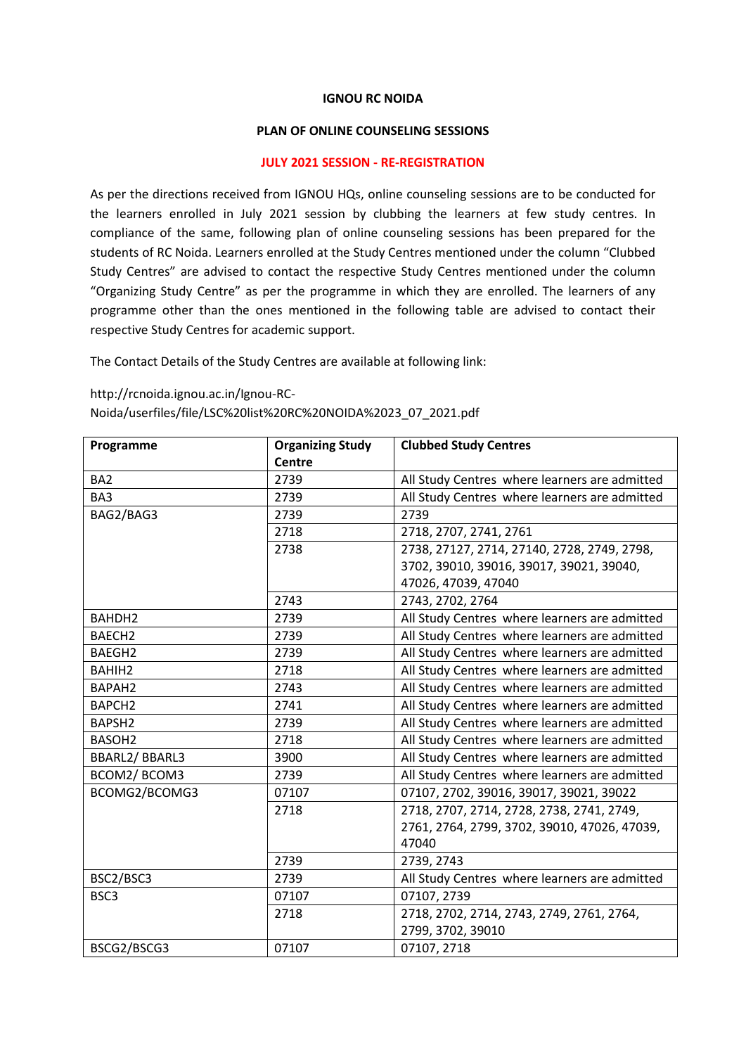## **IGNOU RC NOIDA**

## **PLAN OF ONLINE COUNSELING SESSIONS**

## **JULY 2021 SESSION - RE-REGISTRATION**

As per the directions received from IGNOU HQs, online counseling sessions are to be conducted for the learners enrolled in July 2021 session by clubbing the learners at few study centres. In compliance of the same, following plan of online counseling sessions has been prepared for the students of RC Noida. Learners enrolled at the Study Centres mentioned under the column "Clubbed Study Centres" are advised to contact the respective Study Centres mentioned under the column "Organizing Study Centre" as per the programme in which they are enrolled. The learners of any programme other than the ones mentioned in the following table are advised to contact their respective Study Centres for academic support.

The Contact Details of the Study Centres are available at following link:

http://rcnoida.ignou.ac.in/Ignou-RC-

Noida/userfiles/file/LSC%20list%20RC%20NOIDA%2023\_07\_2021.pdf

| Programme          | <b>Organizing Study</b> | <b>Clubbed Study Centres</b>                  |
|--------------------|-------------------------|-----------------------------------------------|
|                    | <b>Centre</b>           |                                               |
| BA <sub>2</sub>    | 2739                    | All Study Centres where learners are admitted |
| BA <sub>3</sub>    | 2739                    | All Study Centres where learners are admitted |
| BAG2/BAG3          | 2739                    | 2739                                          |
|                    | 2718                    | 2718, 2707, 2741, 2761                        |
|                    | 2738                    | 2738, 27127, 2714, 27140, 2728, 2749, 2798,   |
|                    |                         | 3702, 39010, 39016, 39017, 39021, 39040,      |
|                    |                         | 47026, 47039, 47040                           |
|                    | 2743                    | 2743, 2702, 2764                              |
| BAHDH <sub>2</sub> | 2739                    | All Study Centres where learners are admitted |
| BAECH <sub>2</sub> | 2739                    | All Study Centres where learners are admitted |
| BAEGH <sub>2</sub> | 2739                    | All Study Centres where learners are admitted |
| BAHIH <sub>2</sub> | 2718                    | All Study Centres where learners are admitted |
| BAPAH <sub>2</sub> | 2743                    | All Study Centres where learners are admitted |
| BAPCH <sub>2</sub> | 2741                    | All Study Centres where learners are admitted |
| BAPSH <sub>2</sub> | 2739                    | All Study Centres where learners are admitted |
| BASOH <sub>2</sub> | 2718                    | All Study Centres where learners are admitted |
| BBARL2/BBARL3      | 3900                    | All Study Centres where learners are admitted |
| BCOM2/BCOM3        | 2739                    | All Study Centres where learners are admitted |
| BCOMG2/BCOMG3      | 07107                   | 07107, 2702, 39016, 39017, 39021, 39022       |
|                    | 2718                    | 2718, 2707, 2714, 2728, 2738, 2741, 2749,     |
|                    |                         | 2761, 2764, 2799, 3702, 39010, 47026, 47039,  |
|                    |                         | 47040                                         |
|                    | 2739                    | 2739, 2743                                    |
| BSC2/BSC3          | 2739                    | All Study Centres where learners are admitted |
| BSC3               | 07107                   | 07107, 2739                                   |
|                    | 2718                    | 2718, 2702, 2714, 2743, 2749, 2761, 2764,     |
|                    |                         | 2799, 3702, 39010                             |
| BSCG2/BSCG3        | 07107                   | 07107, 2718                                   |